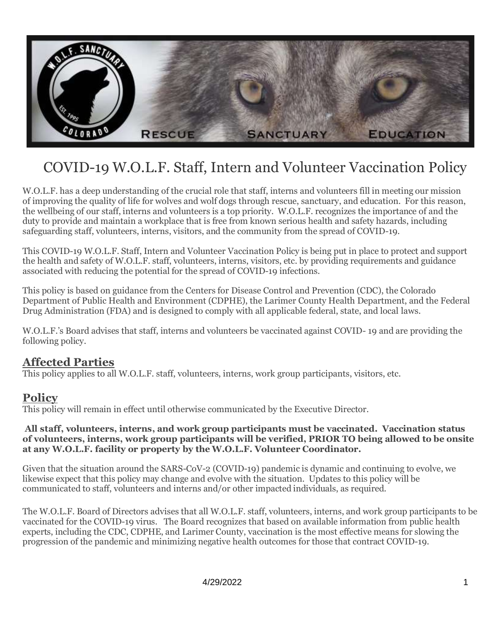

# COVID-19 W.O.L.F. Staff, Intern and Volunteer Vaccination Policy

W.O.L.F. has a deep understanding of the crucial role that staff, interns and volunteers fill in meeting our mission of improving the quality of life for wolves and wolf dogs through rescue, sanctuary, and education. For this reason, the wellbeing of our staff, interns and volunteers is a top priority. W.O.L.F. recognizes the importance of and the duty to provide and maintain a workplace that is free from known serious health and safety hazards, including safeguarding staff, volunteers, interns, visitors, and the community from the spread of COVID-19.

This COVID-19 W.O.L.F. Staff, Intern and Volunteer Vaccination Policy is being put in place to protect and support the health and safety of W.O.L.F. staff, volunteers, interns, visitors, etc. by providing requirements and guidance associated with reducing the potential for the spread of COVID-19 infections.

This policy is based on guidance from the Centers for Disease Control and Prevention (CDC), the Colorado Department of Public Health and Environment (CDPHE), the Larimer County Health Department, and the Federal Drug Administration (FDA) and is designed to comply with all applicable federal, state, and local laws.

W.O.L.F.'s Board advises that staff, interns and volunteers be vaccinated against COVID- 19 and are providing the following policy.

# **Affected Parties**

This policy applies to all W.O.L.F. staff, volunteers, interns, work group participants, visitors, etc.

# **Policy**

This policy will remain in effect until otherwise communicated by the Executive Director.

#### **All staff, volunteers, interns, and work group participants must be vaccinated. Vaccination status of volunteers, interns, work group participants will be verified, PRIOR TO being allowed to be onsite at any W.O.L.F. facility or property by the W.O.L.F. Volunteer Coordinator.**

Given that the situation around the SARS-CoV-2 (COVID-19) pandemic is dynamic and continuing to evolve, we likewise expect that this policy may change and evolve with the situation. Updates to this policy will be communicated to staff, volunteers and interns and/or other impacted individuals, as required.

The W.O.L.F. Board of Directors advises that all W.O.L.F. staff, volunteers, interns, and work group participants to be vaccinated for the COVID-19 virus. The Board recognizes that based on available information from public health experts, including the CDC, CDPHE, and Larimer County, vaccination is the most effective means for slowing the progression of the pandemic and minimizing negative health outcomes for those that contract COVID-19.